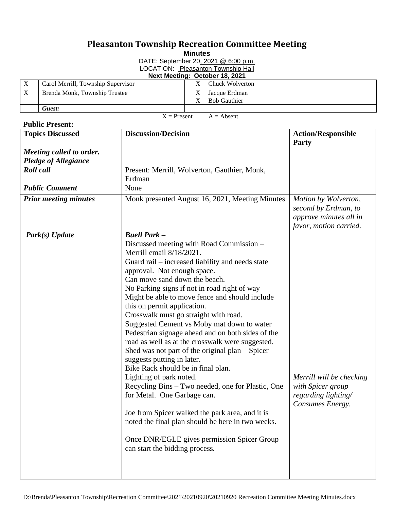## **Pleasanton Township Recreation Committee Meeting**

**Minutes**

DATE: September 20, 2021 @ 6:00 p.m. LOCATION: Pleasanton Township Hall

## **Next Meeting: October 18, 2021**

|               | Carol Merrill, Township Supervisor |  |  |              | Chuck Wolverton     |
|---------------|------------------------------------|--|--|--------------|---------------------|
|               | Brenda Monk, Township Trustee      |  |  |              | Jacque Erdman       |
|               |                                    |  |  | X            | <b>Bob Gauthier</b> |
|               | Guest:                             |  |  |              |                     |
| $X =$ Present |                                    |  |  | $A =$ Absent |                     |

## **Public Present:**

| <b>Topics Discussed</b>                                 | <b>Discussion/Decision</b>                                                                                                                                                                                                                                                                                                                                                                                                                                                                                                                                                                                                                                                                                                                                                                                                                                                                                                                                                        | <b>Action/Responsible</b><br>Party                                                               |
|---------------------------------------------------------|-----------------------------------------------------------------------------------------------------------------------------------------------------------------------------------------------------------------------------------------------------------------------------------------------------------------------------------------------------------------------------------------------------------------------------------------------------------------------------------------------------------------------------------------------------------------------------------------------------------------------------------------------------------------------------------------------------------------------------------------------------------------------------------------------------------------------------------------------------------------------------------------------------------------------------------------------------------------------------------|--------------------------------------------------------------------------------------------------|
| Meeting called to order.<br><b>Pledge of Allegiance</b> |                                                                                                                                                                                                                                                                                                                                                                                                                                                                                                                                                                                                                                                                                                                                                                                                                                                                                                                                                                                   |                                                                                                  |
| <b>Roll</b> call                                        | Present: Merrill, Wolverton, Gauthier, Monk,<br>Erdman                                                                                                                                                                                                                                                                                                                                                                                                                                                                                                                                                                                                                                                                                                                                                                                                                                                                                                                            |                                                                                                  |
| <b>Public Comment</b>                                   | None                                                                                                                                                                                                                                                                                                                                                                                                                                                                                                                                                                                                                                                                                                                                                                                                                                                                                                                                                                              |                                                                                                  |
| <b>Prior meeting minutes</b>                            | Monk presented August 16, 2021, Meeting Minutes                                                                                                                                                                                                                                                                                                                                                                                                                                                                                                                                                                                                                                                                                                                                                                                                                                                                                                                                   | Motion by Wolverton,<br>second by Erdman, to<br>approve minutes all in<br>favor, motion carried. |
| Park(s) Update                                          | <b>Buell Park -</b><br>Discussed meeting with Road Commission –<br>Merrill email 8/18/2021.<br>Guard rail – increased liability and needs state<br>approval. Not enough space.<br>Can move sand down the beach.<br>No Parking signs if not in road right of way<br>Might be able to move fence and should include<br>this on permit application.<br>Crosswalk must go straight with road.<br>Suggested Cement vs Moby mat down to water<br>Pedestrian signage ahead and on both sides of the<br>road as well as at the crosswalk were suggested.<br>Shed was not part of the original plan $-$ Spicer<br>suggests putting in later.<br>Bike Rack should be in final plan.<br>Lighting of park noted.<br>Recycling Bins – Two needed, one for Plastic, One<br>for Metal. One Garbage can.<br>Joe from Spicer walked the park area, and it is<br>noted the final plan should be here in two weeks.<br>Once DNR/EGLE gives permission Spicer Group<br>can start the bidding process. | Merrill will be checking<br>with Spicer group<br>regarding lighting/<br>Consumes Energy.         |